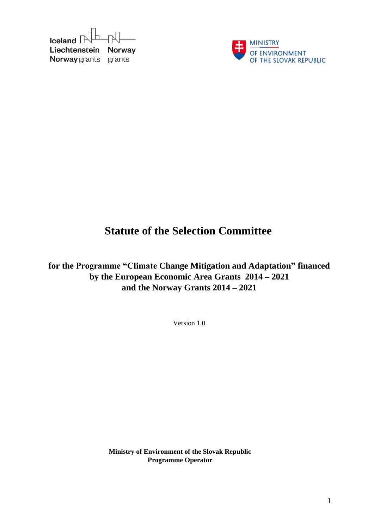



# **Statute of the Selection Committee**

**for the Programme "Climate Change Mitigation and Adaptation" financed by the European Economic Area Grants 2014 – 2021 and the Norway Grants 2014 – 2021**

Version 1.0

**Ministry of Environment of the Slovak Republic Programme Operator**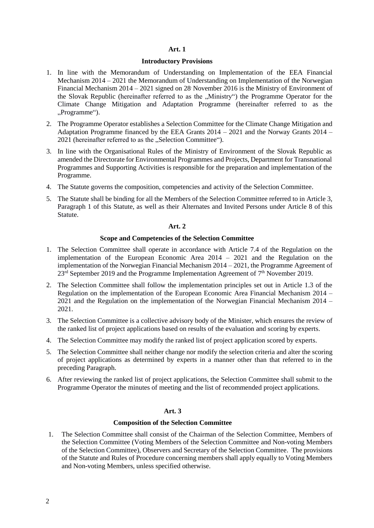#### **Introductory Provisions**

- 1. In line with the Memorandum of Understanding on Implementation of the EEA Financial Mechanism 2014 – 2021 the Memorandum of Understanding on Implementation of the Norwegian Financial Mechanism 2014 – 2021 signed on 28. November 2016 is the Ministry of Environment of the Slovak Republic (hereinafter referred to as the "Ministry") the Programme Operator for the Climate Change Mitigation and Adaptation Programme (hereinafter referred to as the "Programme").
- 2. The Programme Operator establishes a Selection Committee for the Climate Change Mitigation and Adaptation Programme financed by the EEA Grants 2014 – 2021 and the Norway Grants 2014 – 2021 (hereinafter referred to as the "Selection Committee").
- 3. In line with the Organisational Rules of the Ministry of Environment of the Slovak Republic as amended the Directorate for Environmental Programmes and Projects, Department for Transnational Programmes and Supporting Activities is responsible for the preparation and implementation of the Programme.
- 4. The Statute governs the composition, competencies and activity of the Selection Committee.
- 5. The Statute shall be binding for all the Members of the Selection Committee referred to in Article 3, Paragraph 1 of this Statute, as well as their Alternates and Invited Persons under Article 8 of this Statute.

#### **Art. 2**

#### **Scope and Competencies of the Selection Committee**

- 1. The Selection Committee shall operate in accordance with Article 7.4 of the Regulation on the implementation of the European Economic Area 2014 – 2021 and the Regulation on the implementation of the Norwegian Financial Mechanism 2014 – 2021, the Programme Agreement of  $23<sup>rd</sup>$  September 2019 and the Programme Implementation Agreement of  $7<sup>th</sup>$  November 2019.
- 2. The Selection Committee shall follow the implementation principles set out in Article 1.3 of the Regulation on the implementation of the European Economic Area Financial Mechanism 2014 – 2021 and the Regulation on the implementation of the Norwegian Financial Mechanism 2014 – 2021.
- 3. The Selection Committee is a collective advisory body of the Minister, which ensures the review of the ranked list of project applications based on results of the evaluation and scoring by experts.
- 4. The Selection Committee may modify the ranked list of project application scored by experts.
- 5. The Selection Committee shall neither change nor modify the selection criteria and alter the scoring of project applications as determined by experts in a manner other than that referred to in the preceding Paragraph.
- 6. After reviewing the ranked list of project applications, the Selection Committee shall submit to the Programme Operator the minutes of meeting and the list of recommended project applications.

# **Art. 3**

#### **Composition of the Selection Committee**

1. The Selection Committee shall consist of the Chairman of the Selection Committee, Members of the Selection Committee (Voting Members of the Selection Committee and Non-voting Members of the Selection Committee), Observers and Secretary of the Selection Committee. The provisions of the Statute and Rules of Procedure concerning members shall apply equally to Voting Members and Non-voting Members, unless specified otherwise.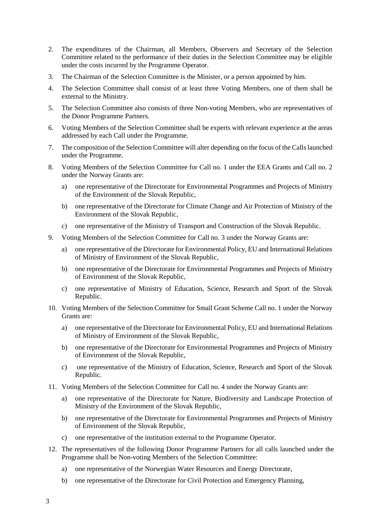- 2. The expenditures of the Chairman, all Members, Observers and Secretary of the Selection Committee related to the performance of their duties in the Selection Committee may be eligible under the costs incurred by the Programme Operator.
- 3. The Chairman of the Selection Committee is the Minister, or a person appointed by him.
- 4. The Selection Committee shall consist of at least three Voting Members, one of them shall be external to the Ministry.
- 5. The Selection Committee also consists of three Non-voting Members, who are representatives of the Donor Programme Partners.
- 6. Voting Members of the Selection Committee shall be experts with relevant experience at the areas addressed by each Call under the Programme.
- 7. The composition of the Selection Committee will alter depending on the focus of the Callslaunched under the Programme.
- 8. Voting Members of the Selection Committee for Call no. 1 under the EEA Grants and Call no. 2 under the Norway Grants are:
	- a) one representative of the Directorate for Environmental Programmes and Projects of Ministry of the Environment of the Slovak Republic,
	- b) one representative of the Directorate for Climate Change and Air Protection of Ministry of the Environment of the Slovak Republic,
	- c) one representative of the Ministry of Transport and Construction of the Slovak Republic.
- 9. Voting Members of the Selection Committee for Call no. 3 under the Norway Grants are:
	- a) one representative of the Directorate for Environmental Policy, EU and International Relations of Ministry of Environment of the Slovak Republic,
	- b) one representative of the Directorate for Environmental Programmes and Projects of Ministry of Environment of the Slovak Republic,
	- c) one representative of Ministry of Education, Science, Research and Sport of the Slovak Republic.
- 10. Voting Members of the Selection Committee for Small Grant Scheme Call no. 1 under the Norway Grants are:
	- a) one representative of the Directorate for Environmental Policy, EU and International Relations of Ministry of Environment of the Slovak Republic,
	- b) one representative of the Directorate for Environmental Programmes and Projects of Ministry of Environment of the Slovak Republic,
	- c) one representative of the Ministry of Education, Science, Research and Sport of the Slovak Republic.
- 11. Voting Members of the Selection Committee for Call no. 4 under the Norway Grants are:
	- a) one representative of the Directorate for Nature, Biodiversity and Landscape Protection of Ministry of the Environment of the Slovak Republic,
	- b) one representative of the Directorate for Environmental Programmes and Projects of Ministry of Environment of the Slovak Republic,
	- c) one representative of the institution external to the Programme Operator.
- 12. The representatives of the following Donor Programme Partners for all calls launched under the Programme shall be Non-voting Members of the Selection Committee:
	- a) one representative of the Norwegian Water Resources and Energy Directorate,
	- b) one representative of the Directorate for Civil Protection and Emergency Planning,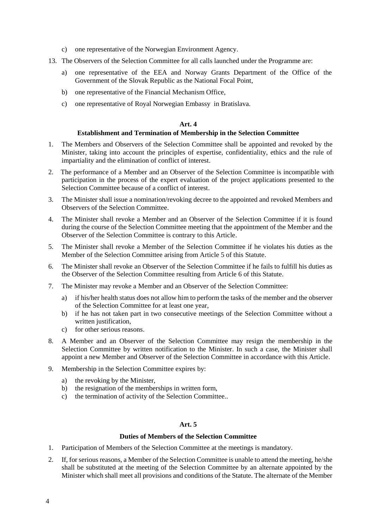- c) one representative of the Norwegian Environment Agency.
- 13. The Observers of the Selection Committee for all calls launched under the Programme are:
	- a) one representative of the EEA and Norway Grants Department of the Office of the Government of the Slovak Republic as the National Focal Point,
	- b) one representative of the Financial Mechanism Office,
	- c) one representative of Royal Norwegian Embassy in Bratislava.

#### **Establishment and Termination of Membership in the Selection Committee**

- 1. The Members and Observers of the Selection Committee shall be appointed and revoked by the Minister, taking into account the principles of expertise, confidentiality, ethics and the rule of impartiality and the elimination of conflict of interest.
- 2. The performance of a Member and an Observer of the Selection Committee is incompatible with participation in the process of the expert evaluation of the project applications presented to the Selection Committee because of a conflict of interest.
- 3. The Minister shall issue a nomination/revoking decree to the appointed and revoked Members and Observers of the Selection Committee.
- 4. The Minister shall revoke a Member and an Observer of the Selection Committee if it is found during the course of the Selection Committee meeting that the appointment of the Member and the Observer of the Selection Committee is contrary to this Article.
- 5. The Minister shall revoke a Member of the Selection Committee if he violates his duties as the Member of the Selection Committee arising from Article 5 of this Statute.
- 6. The Minister shall revoke an Observer of the Selection Committee if he fails to fulfill his duties as the Observer of the Selection Committee resulting from Article 6 of this Statute.
- 7. The Minister may revoke a Member and an Observer of the Selection Committee:
	- a) if his/her health status does not allow him to perform the tasks of the member and the observer of the Selection Committee for at least one year,
	- b) if he has not taken part in two consecutive meetings of the Selection Committee without a written justification,
	- c) for other serious reasons.
- 8. A Member and an Observer of the Selection Committee may resign the membership in the Selection Committee by written notification to the Minister. In such a case, the Minister shall appoint a new Member and Observer of the Selection Committee in accordance with this Article.
- 9. Membership in the Selection Committee expires by:
	- a) the revoking by the Minister,
	- b) the resignation of the memberships in written form,
	- c) the termination of activity of the Selection Committee..

#### **Art. 5**

#### **Duties of Members of the Selection Committee**

- 1. Participation of Members of the Selection Committee at the meetings is mandatory.
- 2. If, for serious reasons, a Member of the Selection Committee is unable to attend the meeting, he/she shall be substituted at the meeting of the Selection Committee by an alternate appointed by the Minister which shall meet all provisions and conditions of the Statute. The alternate of the Member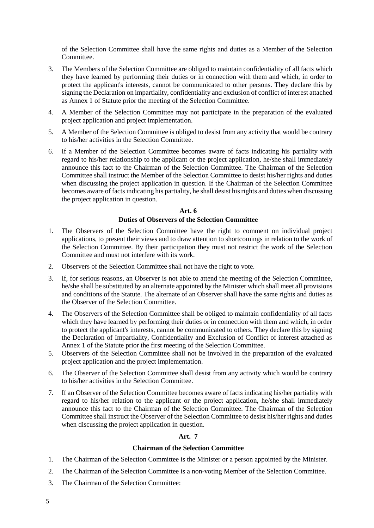of the Selection Committee shall have the same rights and duties as a Member of the Selection Committee.

- 3. The Members of the Selection Committee are obliged to maintain confidentiality of all facts which they have learned by performing their duties or in connection with them and which, in order to protect the applicant's interests, cannot be communicated to other persons. They declare this by signing the Declaration on impartiality, confidentiality and exclusion of conflict of interest attached as Annex 1 of Statute prior the meeting of the Selection Committee.
- 4. A Member of the Selection Committee may not participate in the preparation of the evaluated project application and project implementation.
- 5. A Member of the Selection Committee is obliged to desist from any activity that would be contrary to his/her activities in the Selection Committee.
- 6. If a Member of the Selection Committee becomes aware of facts indicating his partiality with regard to his/her relationship to the applicant or the project application, he/she shall immediately announce this fact to the Chairman of the Selection Committee. The Chairman of the Selection Committee shall instruct the Member of the Selection Committee to desist his/her rights and duties when discussing the project application in question. If the Chairman of the Selection Committee becomes aware of facts indicating his partiality, he shall desist his rights and duties when discussing the project application in question.

# **Art. 6**

# **Duties of Observers of the Selection Committee**

- 1. The Observers of the Selection Committee have the right to comment on individual project applications, to present their views and to draw attention to shortcomings in relation to the work of the Selection Committee. By their participation they must not restrict the work of the Selection Committee and must not interfere with its work.
- 2. Observers of the Selection Committee shall not have the right to vote.
- 3. If, for serious reasons, an Observer is not able to attend the meeting of the Selection Committee, he/she shall be substituted by an alternate appointed by the Minister which shall meet all provisions and conditions of the Statute. The alternate of an Observer shall have the same rights and duties as the Observer of the Selection Committee.
- 4. The Observers of the Selection Committee shall be obliged to maintain confidentiality of all facts which they have learned by performing their duties or in connection with them and which, in order to protect the applicant's interests, cannot be communicated to others. They declare this by signing the Declaration of Impartiality, Confidentiality and Exclusion of Conflict of interest attached as Annex 1 of the Statute prior the first meeting of the Selection Committee.
- 5. Observers of the Selection Committee shall not be involved in the preparation of the evaluated project application and the project implementation.
- 6. The Observer of the Selection Committee shall desist from any activity which would be contrary to his/her activities in the Selection Committee.
- 7. If an Observer of the Selection Committee becomes aware of facts indicating his/her partiality with regard to his/her relation to the applicant or the project application, he/she shall immediately announce this fact to the Chairman of the Selection Committee. The Chairman of the Selection Committee shall instruct the Observer of the Selection Committee to desist his/her rights and duties when discussing the project application in question.

# **Art. 7**

#### **Chairman of the Selection Committee**

- 1. The Chairman of the Selection Committee is the Minister or a person appointed by the Minister.
- 2. The Chairman of the Selection Committee is a non-voting Member of the Selection Committee.
- 3. The Chairman of the Selection Committee: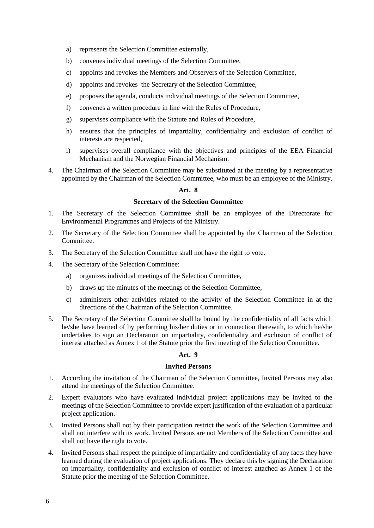- a) represents the Selection Committee externally,
- b) convenes individual meetings of the Selection Committee,
- c) appoints and revokes the Members and Observers of the Selection Committee,
- d) appoints and revokes the Secretary of the Selection Committee,
- e) proposes the agenda, conducts individual meetings of the Selection Committee,
- f) convenes a written procedure in line with the Rules of Procedure,
- g) supervises compliance with the Statute and Rules of Procedure,
- h) ensures that the principles of impartiality, confidentiality and exclusion of conflict of interests are respected,
- i) supervises overall compliance with the objectives and principles of the EEA Financial Mechanism and the Norwegian Financial Mechanism.
- 4. The Chairman of the Selection Committee may be substituted at the meeting by a representative appointed by the Chairman of the Selection Committee, who must be an employee of the Ministry.

# **Secretary of the Selection Committee**

- 1. The Secretary of the Selection Committee shall be an employee of the Directorate for Environmental Programmes and Projects of the Ministry.
- 2. The Secretary of the Selection Committee shall be appointed by the Chairman of the Selection Committee.
- 3. The Secretary of the Selection Committee shall not have the right to vote.
- 4. The Secretary of the Selection Committee:
	- a) organizes individual meetings of the Selection Committee,
	- b) draws up the minutes of the meetings of the Selection Committee,
	- c) administers other activities related to the activity of the Selection Committee in at the directions of the Chairman of the Selection Committee.
- 5. The Secretary of the Selection Committee shall be bound by the confidentiality of all facts which he/she have learned of by performing his/her duties or in connection therewith, to which he/she undertakes to sign an Declaration on impartiality, confidentiality and exclusion of conflict of interest attached as Annex 1 of the Statute prior the first meeting of the Selection Committee.

### **Art. 9**

#### **Invited Persons**

- 1. According the invitation of the Chairman of the Selection Committee, Invited Persons may also attend the meetings of the Selection Committee.
- 2. Expert evaluators who have evaluated individual project applications may be invited to the meetings of the Selection Committee to provide expert justification of the evaluation of a particular project application.
- 3. Invited Persons shall not by their participation restrict the work of the Selection Committee and shall not interfere with its work. Invited Persons are not Members of the Selection Committee and shall not have the right to vote.
- 4. Invited Persons shall respect the principle of impartiality and confidentiality of any facts they have learned during the evaluation of project applications. They declare this by signing the Declaration on impartiality, confidentiality and exclusion of conflict of interest attached as Annex 1 of the Statute prior the meeting of the Selection Committee.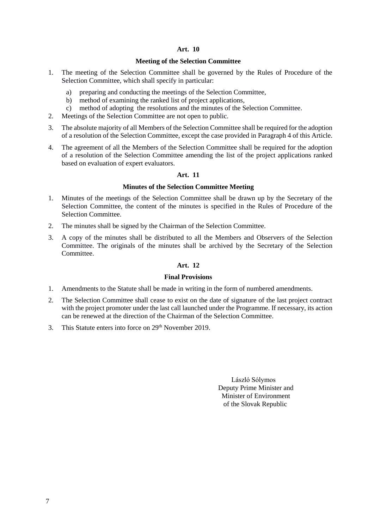#### **Meeting of the Selection Committee**

- 1. The meeting of the Selection Committee shall be governed by the Rules of Procedure of the Selection Committee, which shall specify in particular:
	- a) preparing and conducting the meetings of the Selection Committee,
	- b) method of examining the ranked list of project applications,
	- c) method of adopting the resolutions and the minutes of the Selection Committee.
- 2. Meetings of the Selection Committee are not open to public.
- 3. The absolute majority of all Members of the Selection Committee shall be required for the adoption of a resolution of the Selection Committee, except the case provided in Paragraph 4 of this Article.
- 4. The agreement of all the Members of the Selection Committee shall be required for the adoption of a resolution of the Selection Committee amending the list of the project applications ranked based on evaluation of expert evaluators.

# **Art. 11**

#### **Minutes of the Selection Committee Meeting**

- 1. Minutes of the meetings of the Selection Committee shall be drawn up by the Secretary of the Selection Committee, the content of the minutes is specified in the Rules of Procedure of the Selection Committee.
- 2. The minutes shall be signed by the Chairman of the Selection Committee.
- 3. A copy of the minutes shall be distributed to all the Members and Observers of the Selection Committee. The originals of the minutes shall be archived by the Secretary of the Selection Committee.

# **Art. 12**

#### **Final Provisions**

- 1. Amendments to the Statute shall be made in writing in the form of numbered amendments.
- 2. The Selection Committee shall cease to exist on the date of signature of the last project contract with the project promoter under the last call launched under the Programme. If necessary, its action can be renewed at the direction of the Chairman of the Selection Committee.
- 3. This Statute enters into force on 29th November 2019.

László Sólymos Deputy Prime Minister and Minister of Environment of the Slovak Republic